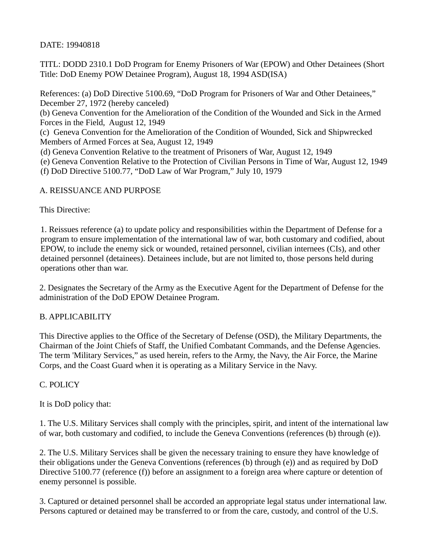DATE: 19940818

TITL: DODD 2310.1 DoD Program for Enemy Prisoners of War (EPOW) and Other Detainees (Short Title: DoD Enemy POW Detainee Program), August 18, 1994 ASD(ISA)

References: (a) DoD Directive 5100.69, "DoD Program for Prisoners of War and Other Detainees," December 27, 1972 (hereby canceled)

(b) Geneva Convention for the Amelioration of the Condition of the Wounded and Sick in the Armed Forces in the Field, August 12, 1949

(c) Geneva Convention for the Amelioration of the Condition of Wounded, Sick and Shipwrecked Members of Armed Forces at Sea, August 12, 1949

(d) Geneva Convention Relative to the treatment of Prisoners of War, August 12, 1949

(e) Geneva Convention Relative to the Protection of Civilian Persons in Time of War, August 12, 1949

(f) DoD Directive 5100.77, "DoD Law of War Program," July 10, 1979

## A. REISSUANCE AND PURPOSE

This Directive:

1. Reissues reference (a) to update policy and responsibilities within the Department of Defense for a program to ensure implementation of the international law of war, both customary and codified, about EPOW, to include the enemy sick or wounded, retained personnel, civilian internees (CIs), and other detained personnel (detainees). Detainees include, but are not limited to, those persons held during operations other than war.

2. Designates the Secretary of the Army as the Executive Agent for the Department of Defense for the administration of the DoD EPOW Detainee Program.

## B. APPLICABILITY

This Directive applies to the Office of the Secretary of Defense (OSD), the Military Departments, the Chairman of the Joint Chiefs of Staff, the Unified Combatant Commands, and the Defense Agencies. The term 'Military Services," as used herein, refers to the Army, the Navy, the Air Force, the Marine Corps, and the Coast Guard when it is operating as a Military Service in the Navy.

## C. POLICY

It is DoD policy that:

1. The U.S. Military Services shall comply with the principles, spirit, and intent of the international law of war, both customary and codified, to include the Geneva Conventions (references (b) through (e)).

2. The U.S. Military Services shall be given the necessary training to ensure they have knowledge of their obligations under the Geneva Conventions (references (b) through (e)) and as required by DoD Directive 5100.77 (reference (f)) before an assignment to a foreign area where capture or detention of enemy personnel is possible.

3. Captured or detained personnel shall be accorded an appropriate legal status under international law. Persons captured or detained may be transferred to or from the care, custody, and control of the U.S.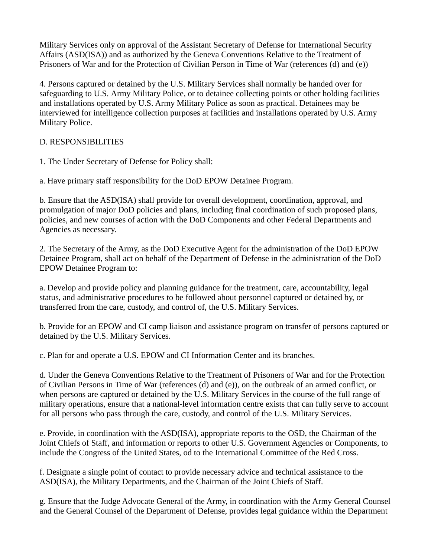Military Services only on approval of the Assistant Secretary of Defense for International Security Affairs (ASD(ISA)) and as authorized by the Geneva Conventions Relative to the Treatment of Prisoners of War and for the Protection of Civilian Person in Time of War (references (d) and (e))

4. Persons captured or detained by the U.S. Military Services shall normally be handed over for safeguarding to U.S. Army Military Police, or to detainee collecting points or other holding facilities and installations operated by U.S. Army Military Police as soon as practical. Detainees may be interviewed for intelligence collection purposes at facilities and installations operated by U.S. Army Military Police.

# D. RESPONSIBILITIES

1. The Under Secretary of Defense for Policy shall:

a. Have primary staff responsibility for the DoD EPOW Detainee Program.

b. Ensure that the ASD(ISA) shall provide for overall development, coordination, approval, and promulgation of major DoD policies and plans, including final coordination of such proposed plans, policies, and new courses of action with the DoD Components and other Federal Departments and Agencies as necessary.

2. The Secretary of the Army, as the DoD Executive Agent for the administration of the DoD EPOW Detainee Program, shall act on behalf of the Department of Defense in the administration of the DoD EPOW Detainee Program to:

a. Develop and provide policy and planning guidance for the treatment, care, accountability, legal status, and administrative procedures to be followed about personnel captured or detained by, or transferred from the care, custody, and control of, the U.S. Military Services.

b. Provide for an EPOW and CI camp liaison and assistance program on transfer of persons captured or detained by the U.S. Military Services.

c. Plan for and operate a U.S. EPOW and CI Information Center and its branches.

d. Under the Geneva Conventions Relative to the Treatment of Prisoners of War and for the Protection of Civilian Persons in Time of War (references (d) and (e)), on the outbreak of an armed conflict, or when persons are captured or detained by the U.S. Military Services in the course of the full range of military operations, ensure that a national-level information centre exists that can fully serve to account for all persons who pass through the care, custody, and control of the U.S. Military Services.

e. Provide, in coordination with the ASD(ISA), appropriate reports to the OSD, the Chairman of the Joint Chiefs of Staff, and information or reports to other U.S. Government Agencies or Components, to include the Congress of the United States, od to the International Committee of the Red Cross.

f. Designate a single point of contact to provide necessary advice and technical assistance to the ASD(ISA), the Military Departments, and the Chairman of the Joint Chiefs of Staff.

g. Ensure that the Judge Advocate General of the Army, in coordination with the Army General Counsel and the General Counsel of the Department of Defense, provides legal guidance within the Department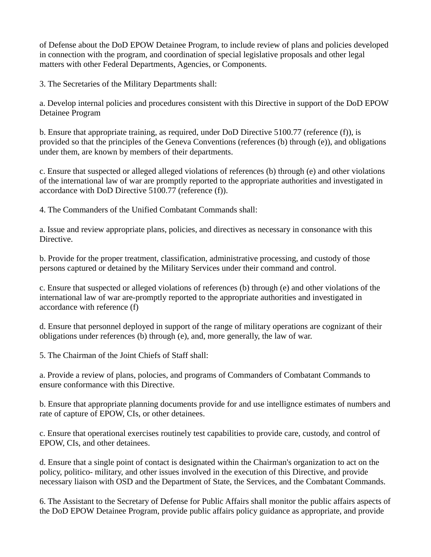of Defense about the DoD EPOW Detainee Program, to include review of plans and policies developed in connection with the program, and coordination of special legislative proposals and other legal matters with other Federal Departments, Agencies, or Components.

3. The Secretaries of the Military Departments shall:

a. Develop internal policies and procedures consistent with this Directive in support of the DoD EPOW Detainee Program

b. Ensure that appropriate training, as required, under DoD Directive 5100.77 (reference (f)), is provided so that the principles of the Geneva Conventions (references (b) through (e)), and obligations under them, are known by members of their departments.

c. Ensure that suspected or alleged alleged violations of references (b) through (e) and other violations of the international law of war are promptly reported to the appropriate authorities and investigated in accordance with DoD Directive 5100.77 (reference (f)).

4. The Commanders of the Unified Combatant Commands shall:

a. Issue and review appropriate plans, policies, and directives as necessary in consonance with this Directive.

b. Provide for the proper treatment, classification, administrative processing, and custody of those persons captured or detained by the Military Services under their command and control.

c. Ensure that suspected or alleged violations of references (b) through (e) and other violations of the international law of war are-promptly reported to the appropriate authorities and investigated in accordance with reference (f)

d. Ensure that personnel deployed in support of the range of military operations are cognizant of their obligations under references (b) through (e), and, more generally, the law of war.

5. The Chairman of the Joint Chiefs of Staff shall:

a. Provide a review of plans, polocies, and programs of Commanders of Combatant Commands to ensure conformance with this Directive.

b. Ensure that appropriate planning documents provide for and use intellignce estimates of numbers and rate of capture of EPOW, CIs, or other detainees.

c. Ensure that operational exercises routinely test capabilities to provide care, custody, and control of EPOW, CIs, and other detainees.

d. Ensure that a single point of contact is designated within the Chairman's organization to act on the policy, politico- military, and other issues involved in the execution of this Directive, and provide necessary liaison with OSD and the Department of State, the Services, and the Combatant Commands.

6. The Assistant to the Secretary of Defense for Public Affairs shall monitor the public affairs aspects of the DoD EPOW Detainee Program, provide public affairs policy guidance as appropriate, and provide